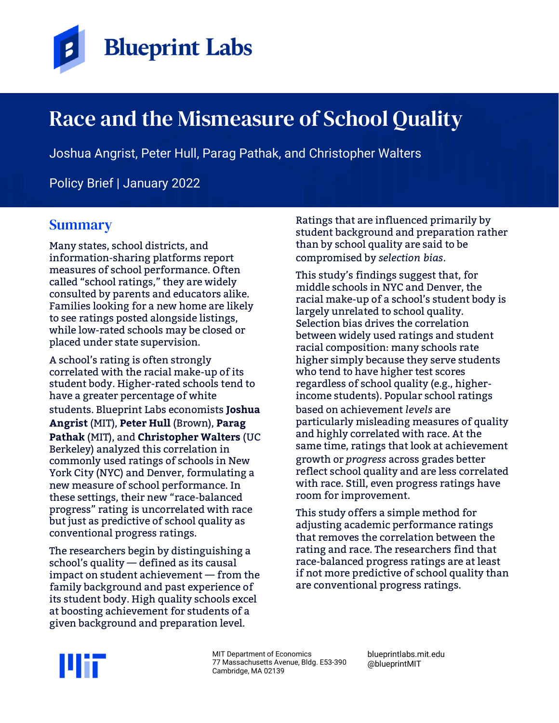

# Race and the Mismeasure of School Quality

Joshua Angrist, Peter Hull, Parag Pathak, and Christopher Walters

Policy Brief | January 2022

## **Summary**

Many states, school districts, and information-sharing platforms report measures of school performance. Often called "school ratings," they are widely consulted by parents and educators alike. Families looking for a new home are likely to see ratings posted alongside listings, while low-rated schools may be closed or placed under state supervision.

A school's rating is often strongly correlated with the racial make-up of its student body. Higher-rated schools tend to have a greater percentage of white students. Blueprint Labs economists **Joshua Angrist** (MIT), **Peter Hull** (Brown), **Parag Pathak** (MIT), and **Christopher Walters** (UC Berkeley) analyzed this correlation in commonly used ratings of schools in New York City (NYC) and Denver, formulating a new measure of school performance. In these settings, their new "race-balanced progress" rating is uncorrelated with race but just as predictive of school quality as conventional progress ratings.

The researchers begin by distinguishing a school's quality — defined as its causal impact on student achievement — from the family background and past experience of its student body. High quality schools excel at boosting achievement for students of a given background and preparation level.

Ratings that are influenced primarily by student background and preparation rather than by school quality are said to be compromised by *selection bias*.

This study's findings suggest that, for middle schools in NYC and Denver, the racial make-up of a school's student body is largely unrelated to school quality. Selection bias drives the correlation between widely used ratings and student racial composition: many schools rate higher simply because they serve students who tend to have higher test scores regardless of school quality (e.g., higherincome students). Popular school ratings based on achievement *levels* are particularly misleading measures of quality and highly correlated with race. At the same time, ratings that look at achievement growth or *progress* across grades better reflect school quality and are less correlated with race. Still, even progress ratings have room for improvement.

This study offers a simple method for adjusting academic performance ratings that removes the correlation between the rating and race. The researchers find that race-balanced progress ratings are at least if not more predictive of school quality than are conventional progress ratings.



MIT Department of Economics 77 Massachusetts Avenue, Bldg. E53-390 Cambridge, MA 02139

blueprintlabs.mit.edu @blueprintMIT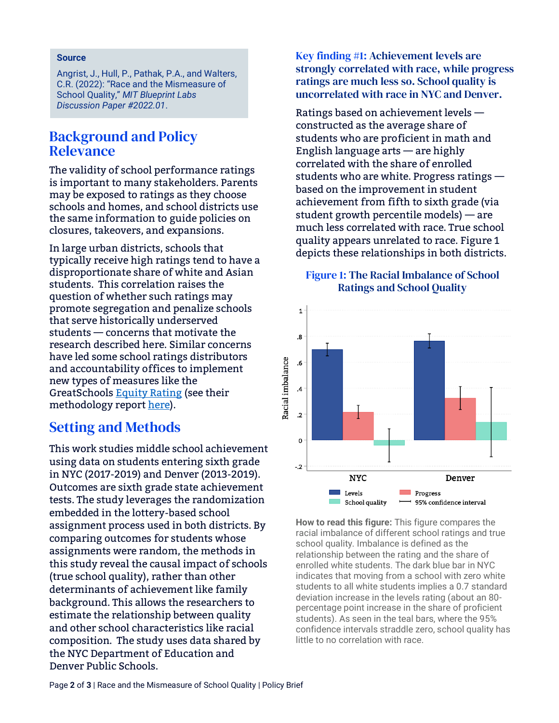#### **Source**

Angrist, J., Hull, P., Pathak, P.A., and Walters, C.R. (2022): "Race and the Mismeasure of School Quality," *MIT Blueprint Labs Discussion Paper #2022.01*.

#### Background and Policy **Relevance**

The validity of school performance ratings is important to many stakeholders. Parents may be exposed to ratings as they choose schools and homes, and school districts use the same information to guide policies on closures, takeovers, and expansions.

In large urban districts, schools that typically receive high ratings tend to have a disproportionate share of white and Asian students. This correlation raises the question of whether such ratings may promote segregation and penalize schools that serve historically underserved students — concerns that motivate the research described here. Similar concerns have led some school ratings distributors and accountability offices to implement new types of measures like the GreatSchools [Equity Rating](https://www.greatschools.org/gk/ratings-methodology/#methodology-equity-rating) (see their methodology report [here\)](https://www.greatschools.org/gk/ratings-methodology/).

### Setting and Methods

This work studies middle school achievement using data on students entering sixth grade in NYC (2017-2019) and Denver (2013-2019). Outcomes are sixth grade state achievement tests. The study leverages the randomization embedded in the lottery-based school assignment process used in both districts. By comparing outcomes for students whose assignments were random, the methods in this study reveal the causal impact of schools (true school quality), rather than other determinants of achievement like family background. This allows the researchers to estimate the relationship between quality and other school characteristics like racial composition. The study uses data shared by the NYC Department of Education and Denver Public Schools.

Key finding #1: Achievement levels are strongly correlated with race, while progress ratings are much less so. School quality is uncorrelated with race in NYC and Denver.

Ratings based on achievement levels constructed as the average share of students who are proficient in math and English language arts — are highly correlated with the share of enrolled students who are white. Progress ratings based on the improvement in student achievement from fifth to sixth grade (via student growth percentile models) — are much less correlated with race. True school quality appears unrelated to race. Figure 1 depicts these relationships in both districts.

#### Figure 1: The Racial Imbalance of School Ratings and School Quality



**How to read this figure:** This figure compares the racial imbalance of different school ratings and true school quality. Imbalance is defined as the relationship between the rating and the share of enrolled white students. The dark blue bar in NYC indicates that moving from a school with zero white students to all white students implies a 0.7 standard deviation increase in the levels rating (about an 80 percentage point increase in the share of proficient students). As seen in the teal bars, where the 95% confidence intervals straddle zero, school quality has little to no correlation with race.